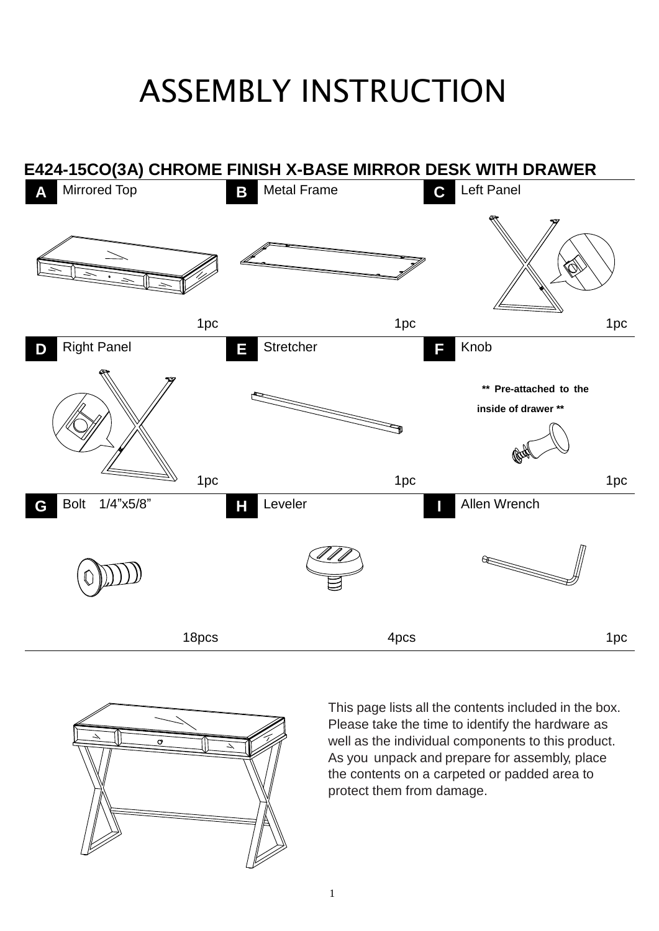## ASSEMBLY INSTRUCTION





This page lists all the contents included in the box. Please take the time to identify the hardware as well as the individual components to this product. As you unpack and prepare for assembly, place the contents on a carpeted or padded area to protect them from damage.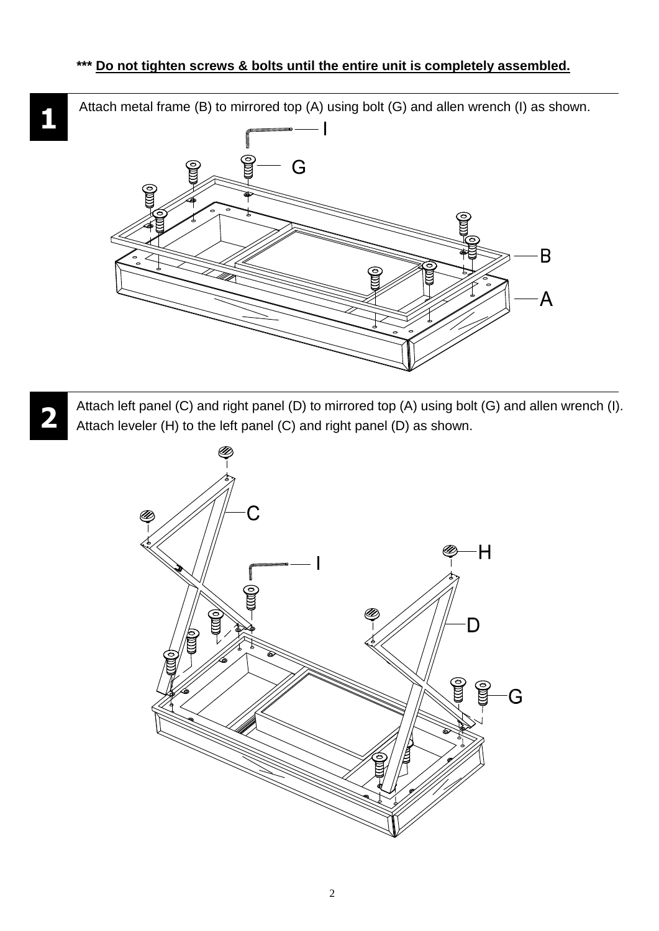Attach metal frame (B) to mirrored top (A) using bolt (G) and allen wrench (I) as shown.

**1**



**2** Attach left panel (C) and right panel (D) to mirrored top (A) using bolt (G) and allen wrench (I). Attach leveler (H) to the left panel (C) and right panel (D) as shown.